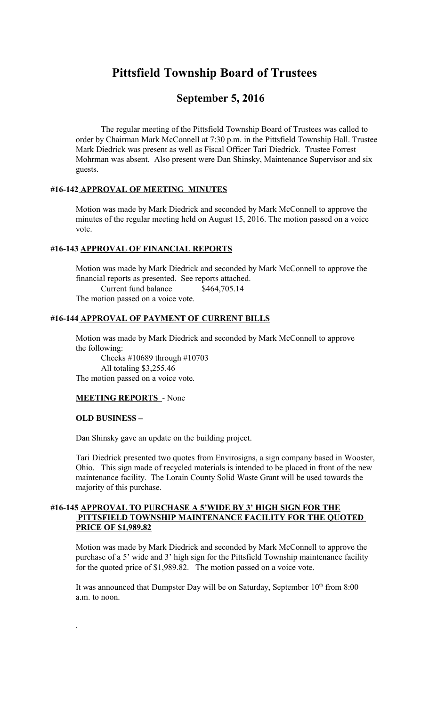# **Pittsfield Township Board of Trustees**

# **September 5, 2016**

The regular meeting of the Pittsfield Township Board of Trustees was called to order by Chairman Mark McConnell at 7:30 p.m. in the Pittsfield Township Hall. Trustee Mark Diedrick was present as well as Fiscal Officer Tari Diedrick. Trustee Forrest Mohrman was absent. Also present were Dan Shinsky, Maintenance Supervisor and six guests.

### **#16-142 APPROVAL OF MEETING MINUTES**

Motion was made by Mark Diedrick and seconded by Mark McConnell to approve the minutes of the regular meeting held on August 15, 2016. The motion passed on a voice vote.

# **#16-143 APPROVAL OF FINANCIAL REPORTS**

Motion was made by Mark Diedrick and seconded by Mark McConnell to approve the financial reports as presented. See reports attached. Current fund balance \$464,705.14 The motion passed on a voice vote.

#### **#16-144 APPROVAL OF PAYMENT OF CURRENT BILLS**

Motion was made by Mark Diedrick and seconded by Mark McConnell to approve the following:

 Checks #10689 through #10703 All totaling \$3,255.46 The motion passed on a voice vote.

#### **MEETING REPORTS** - None

#### **OLD BUSINESS –**

.

Dan Shinsky gave an update on the building project.

Tari Diedrick presented two quotes from Envirosigns, a sign company based in Wooster, Ohio. This sign made of recycled materials is intended to be placed in front of the new maintenance facility. The Lorain County Solid Waste Grant will be used towards the majority of this purchase.

#### **#16-145 APPROVAL TO PURCHASE A 5'WIDE BY 3' HIGH SIGN FOR THE PITTSFIELD TOWNSHIP MAINTENANCE FACILITY FOR THE QUOTED PRICE OF \$1,989.82**

Motion was made by Mark Diedrick and seconded by Mark McConnell to approve the purchase of a 5' wide and 3' high sign for the Pittsfield Township maintenance facility for the quoted price of \$1,989.82. The motion passed on a voice vote.

It was announced that Dumpster Day will be on Saturday, September  $10<sup>th</sup>$  from  $8:00$ a.m. to noon.